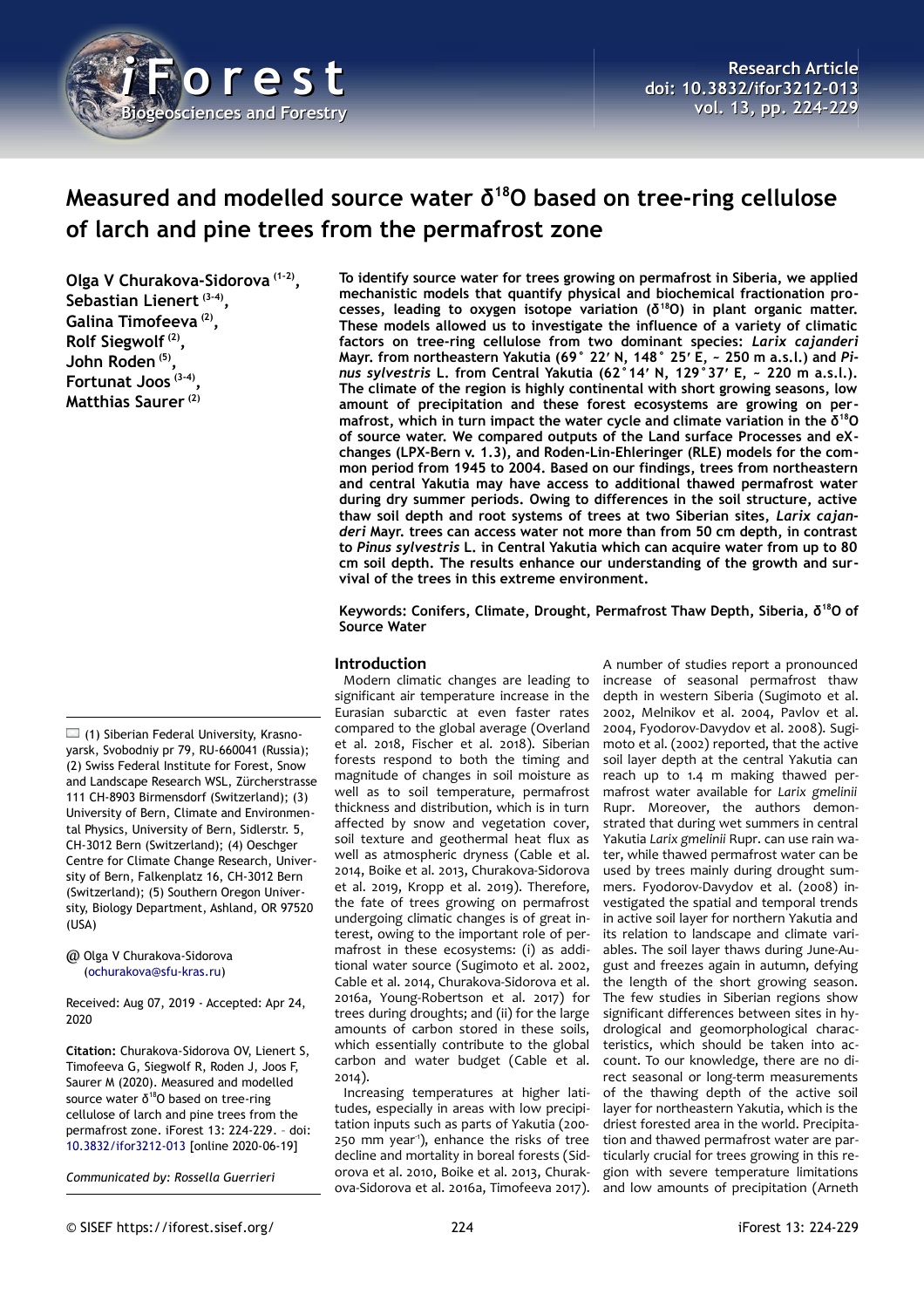

# **Measured and modelled source water δ<sup>18</sup>O based on tree-ring cellulose of larch and pine trees from the permafrost zone**

**Olga V Churakova-Sidorova (1-2) , Sebastian Lienert (3-4) , Galina Timofeeva (2) , Rolf Siegwolf (2) , John Roden (5) , Fortunat Joos (3-4) , Matthias Saurer (2)**

 $\Box$  (1) Siberian Federal University, Krasnoyarsk, Svobodniy pr 79, RU-660041 (Russia); (2) Swiss Federal Institute for Forest, Snow and Landscape Research WSL, Zürcherstrasse 111 CH-8903 Birmensdorf (Switzerland); (3) University of Bern, Climate and Environmental Physics, University of Bern, Sidlerstr. 5, CH-3012 Bern (Switzerland); (4) Oeschger Centre for Climate Change Research, University of Bern, Falkenplatz 16, CH-3012 Bern (Switzerland); (5) Southern Oregon University, Biology Department, Ashland, OR 97520 (USA)

@ Olga V Churakova-Sidorova [\(ochurakova@sfu-kras.ru\)](mailto:ochurakova@sfu-kras.ru)

Received: Aug 07, 2019 - Accepted: Apr 24, 2020

**Citation:** Churakova-Sidorova OV, Lienert S, Timofeeva G, Siegwolf R, Roden J, Joos F, Saurer M (2020). Measured and modelled source water  $\delta^{18}$ O based on tree-ring cellulose of larch and pine trees from the permafrost zone. iForest 13: 224-229. – doi[:](http://www.sisef.it/iforest/contents/?id=ifor3212-013) [10.3832/ifor3212-013](http://www.sisef.it/iforest/contents/?id=ifor3212-013) [online 2020-06-19]

*Communicated by: Rossella Guerrieri*

**To identify source water for trees growing on permafrost in Siberia, we applied mechanistic models that quantify physical and biochemical fractionation processes, leading to oxygen isotope variation (δ<sup>18</sup>O) in plant organic matter. These models allowed us to investigate the influence of a variety of climatic factors on tree-ring cellulose from two dominant species:** *Larix cajanderi* **Mayr. from northeastern Yakutia (69° 22′ N, 148° 25′ E, ~ 250 m a.s.l.) and** *Pinus sylvestris* **L. from Central Yakutia (62°14′ N, 129°37′ E, ~ 220 m a.s.l.). The climate of the region is highly continental with short growing seasons, low amount of precipitation and these forest ecosystems are growing on permafrost, which in turn impact the water cycle and climate variation in the δ<sup>18</sup>O of source water. We compared outputs of the Land surface Processes and eXchanges (LPX-Bern v. 1.3), and Roden-Lin-Ehleringer (RLE) models for the common period from 1945 to 2004. Based on our findings, trees from northeastern and central Yakutia may have access to additional thawed permafrost water during dry summer periods. Owing to differences in the soil structure, active thaw soil depth and root systems of trees at two Siberian sites,** *Larix cajanderi* **Mayr. trees can access water not more than from 50 cm depth, in contrast to** *Pinus sylvestris* **L. in Central Yakutia which can acquire water from up to 80 cm soil depth. The results enhance our understanding of the growth and survival of the trees in this extreme environment.**

**Keywords: Conifers, Climate, Drought, Permafrost Thaw Depth, Siberia, δ<sup>18</sup>O of Source Water**

# **Introduction**

Modern climatic changes are leading to significant air temperature increase in the Eurasian subarctic at even faster rates compared to the global average (Overland et al. 2018, Fischer et al. 2018). Siberian forests respond to both the timing and magnitude of changes in soil moisture as well as to soil temperature, permafrost thickness and distribution, which is in turn affected by snow and vegetation cover, soil texture and geothermal heat flux as well as atmospheric dryness (Cable et al. 2014, Boike et al. 2013, Churakova-Sidorova et al. 2019, Kropp et al. 2019). Therefore, the fate of trees growing on permafrost undergoing climatic changes is of great interest, owing to the important role of permafrost in these ecosystems: (i) as additional water source (Sugimoto et al. 2002, Cable et al. 2014, Churakova-Sidorova et al. 2016a, Young-Robertson et al. 2017) for trees during droughts; and (ii) for the large amounts of carbon stored in these soils, which essentially contribute to the global carbon and water budget (Cable et al. 2014).

Increasing temperatures at higher latitudes, especially in areas with low precipitation inputs such as parts of Yakutia (200- 250 mm year<sup>1</sup>), enhance the risks of tree decline and mortality in boreal forests (Sidorova et al. 2010, Boike et al. 2013, Churakova-Sidorova et al. 2016a, Timofeeva 2017).

A number of studies report a pronounced increase of seasonal permafrost thaw depth in western Siberia (Sugimoto et al. 2002, Melnikov et al. 2004, Pavlov et al. 2004, Fyodorov-Davydov et al. 2008). Sugimoto et al. (2002) reported, that the active soil layer depth at the central Yakutia can reach up to 1.4 m making thawed permafrost water available for *Larix gmelinii* Rupr. Moreover, the authors demonstrated that during wet summers in central Yakutia *Larix gmelinii* Rupr. can use rain water, while thawed permafrost water can be used by trees mainly during drought summers. Fyodorov-Davydov et al. (2008) investigated the spatial and temporal trends in active soil layer for northern Yakutia and its relation to landscape and climate variables. The soil layer thaws during June-August and freezes again in autumn, defying the length of the short growing season. The few studies in Siberian regions show significant differences between sites in hydrological and geomorphological characteristics, which should be taken into account. To our knowledge, there are no direct seasonal or long-term measurements of the thawing depth of the active soil layer for northeastern Yakutia, which is the driest forested area in the world. Precipitation and thawed permafrost water are particularly crucial for trees growing in this region with severe temperature limitations and low amounts of precipitation (Arneth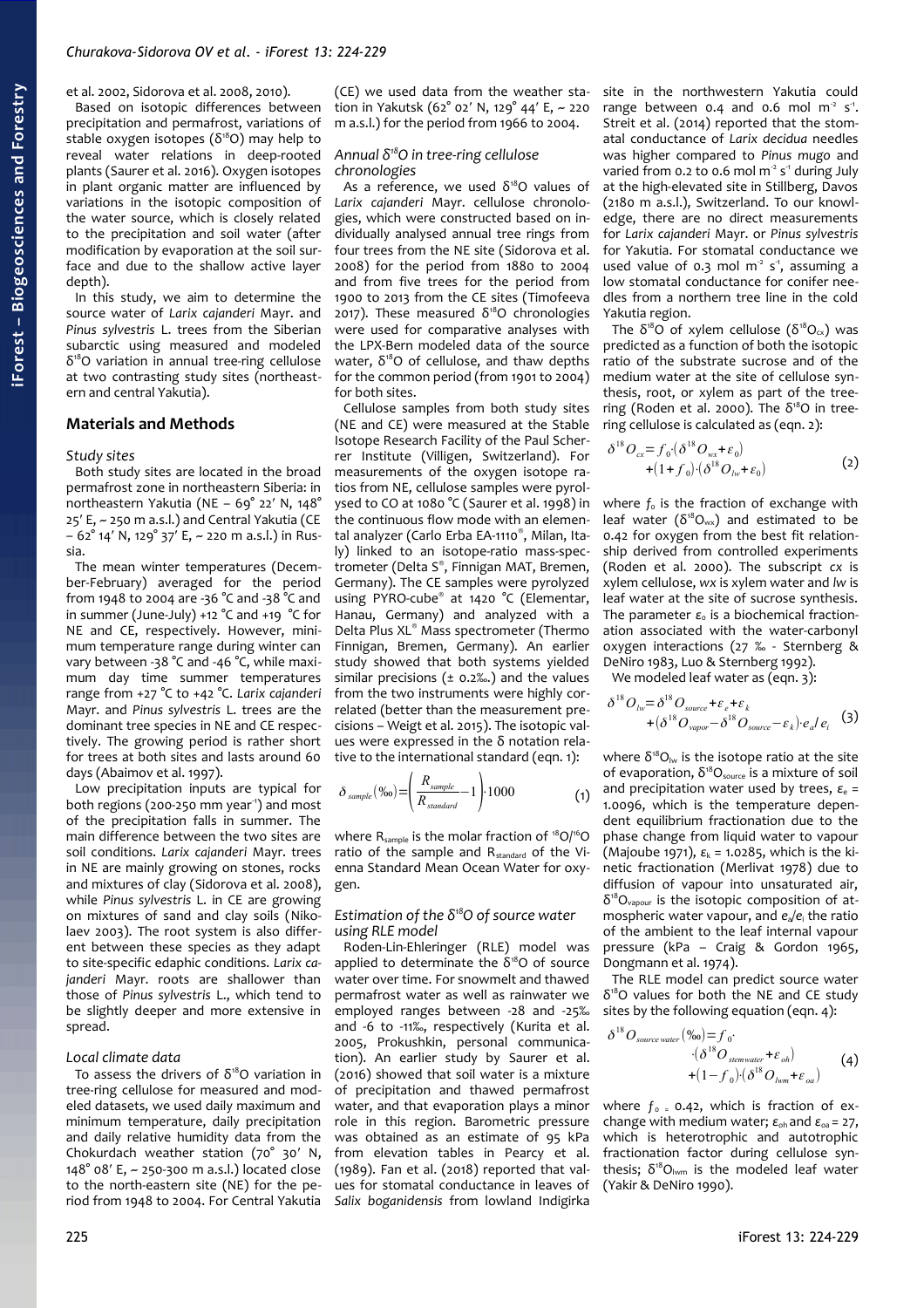et al. 2002, Sidorova et al. 2008, 2010). Based on isotopic differences between precipitation and permafrost, variations of stable oxygen isotopes ( $\delta^{18}O$ ) may help to reveal water relations in deep-rooted plants (Saurer et al. 2016). Oxygen isotopes in plant organic matter are influenced by variations in the isotopic composition of the water source, which is closely related to the precipitation and soil water (after

depth). In this study, we aim to determine the source water of *Larix cajanderi* Mayr. and *Pinus sylvestris* L. trees from the Siberian subarctic using measured and modeled δ <sup>18</sup>O variation in annual tree-ring cellulose at two contrasting study sites (northeastern and central Yakutia).

modification by evaporation at the soil surface and due to the shallow active layer

# **Materials and Methods**

#### *Study sites*

Both study sites are located in the broad permafrost zone in northeastern Siberia: in northeastern Yakutia (NE – 69° 22′ N, 148° 25′ E, ~ 250 m a.s.l.) and Central Yakutia (CE – 62° 14′ N, 129° 37′ E, ~ 220 m a.s.l.) in Russia.

The mean winter temperatures (December-February) averaged for the period from 1948 to 2004 are -36 °C and -38 °C and in summer (June-July) +12 °C and +19 °C for NE and CE, respectively. However, minimum temperature range during winter can vary between -38 °C and -46 °C, while maximum day time summer temperatures range from +27 °C to +42 °C. *Larix cajanderi* Mayr. and *Pinus sylvestris* L. trees are the dominant tree species in NE and CE respectively. The growing period is rather short for trees at both sites and lasts around 60 days (Abaimov et al. 1997).

Low precipitation inputs are typical for both regions (200-250 mm year<sup>-1</sup>) and most of the precipitation falls in summer. The main difference between the two sites are soil conditions. *Larix cajanderi* Mayr. trees in NE are mainly growing on stones, rocks and mixtures of clay (Sidorova et al. 2008), while *Pinus sylvestris* L. in CE are growing on mixtures of sand and clay soils (Nikolaev 2003). The root system is also different between these species as they adapt to site-specific edaphic conditions. *Larix cajanderi* Mayr. roots are shallower than those of *Pinus sylvestris* L., which tend to be slightly deeper and more extensive in spread.

#### *Local climate data*

To assess the drivers of  $\delta^{18}O$  variation in tree-ring cellulose for measured and modeled datasets, we used daily maximum and minimum temperature, daily precipitation and daily relative humidity data from the Chokurdach weather station (70° 30′ N, 148° 08′ E, ~ 250-300 m a.s.l.) located close to the north-eastern site (NE) for the period from 1948 to 2004. For Central Yakutia

(CE) we used data from the weather station in Yakutsk (62° 02′ N, 129° 44′ E, ~ 220 m a.s.l.) for the period from 1966 to 2004.

### *Annual δ<sup>18</sup>O in tree-ring cellulose chronologies*

As a reference, we used  $\delta^{18}O$  values of *Larix cajanderi* Mayr. cellulose chronologies, which were constructed based on individually analysed annual tree rings from four trees from the NE site (Sidorova et al. 2008) for the period from 1880 to 2004 and from five trees for the period from 1900 to 2013 from the CE sites (Timofeeva  $2017$ ). These measured  $δ<sup>18</sup>O$  chronologies were used for comparative analyses with the LPX-Bern modeled data of the source water,  $\delta^{18}O$  of cellulose, and thaw depths for the common period (from 1901 to 2004) for both sites.

Cellulose samples from both study sites (NE and CE) were measured at the Stable Isotope Research Facility of the Paul Scherrer Institute (Villigen, Switzerland). For measurements of the oxygen isotope ratios from NE, cellulose samples were pyrolysed to CO at 1080 °C (Saurer et al. 1998) in the continuous flow mode with an elemental analyzer (Carlo Erba EA-1110® , Milan, Italy) linked to an isotope-ratio mass-spectrometer (Delta S® , Finnigan MAT, Bremen, Germany). The CE samples were pyrolyzed using PYRO-cube® at 1420 °C (Elementar, Hanau, Germany) and analyzed with a Delta Plus XL® Mass spectrometer (Thermo Finnigan, Bremen, Germany). An earlier study showed that both systems yielded similar precisions ( $\pm$  0.2‰.) and the values from the two instruments were highly correlated (better than the measurement precisions – Weigt et al. 2015). The isotopic values were expressed in the δ notation relative to the international standard (eqn. 1):

$$
\delta_{\text{sample}}(\%0) = \left(\frac{R_{\text{sample}}}{R_{\text{standard}}}-1\right) \cdot 1000\tag{1}
$$

where  $R_{sample}$  is the molar fraction of  $^{18}O/^{16}O$ ratio of the sample and R<sub>standard</sub> of the Vienna Standard Mean Ocean Water for oxygen.

#### *Estimation of the δ<sup>18</sup>O of source water using RLE model*

Roden-Lin-Ehleringer (RLE) model was applied to determinate the  $\delta^{18}$ O of source water over time. For snowmelt and thawed permafrost water as well as rainwater we employed ranges between -28 and -25‰ and -6 to -11‰, respectively (Kurita et al. 2005, Prokushkin, personal communication). An earlier study by Saurer et al. (2016) showed that soil water is a mixture of precipitation and thawed permafrost water, and that evaporation plays a minor role in this region. Barometric pressure was obtained as an estimate of 95 kPa from elevation tables in Pearcy et al. (1989). Fan et al. (2018) reported that values for stomatal conductance in leaves of *Salix boganidensis* from lowland Indigirka

site in the northwestern Yakutia could range between  $0.4$  and  $0.6$  mol m<sup>2</sup> s<sup>-1</sup>. Streit et al. (2014) reported that the stomatal conductance of *Larix decidua* needles was higher compared to *Pinus mugo* and varied from 0.2 to 0.6 mol  $m<sup>2</sup> s<sup>-1</sup>$  during July at the high-elevated site in Stillberg, Davos (2180 m a.s.l.), Switzerland. To our knowledge, there are no direct measurements for *Larix cajanderi* Mayr. or *Pinus sylvestris* for Yakutia. For stomatal conductance we used value of 0.3 mol  $m<sup>2</sup>$  s<sup>-1</sup>, assuming a low stomatal conductance for conifer needles from a northern tree line in the cold Yakutia region.

The  $\delta^{18}O$  of xylem cellulose ( $\delta^{18}O_{cx}$ ) was predicted as a function of both the isotopic ratio of the substrate sucrose and of the medium water at the site of cellulose synthesis, root, or xylem as part of the treering (Roden et al. 2000). The  $δ<sup>18</sup>O$  in treering cellulose is calculated as (eqn. 2):

$$
\delta^{18}O_{cx} = f_0 \cdot (\delta^{18}O_{wx} + \varepsilon_0) + (1+f_0) \cdot (\delta^{18}O_{lw} + \varepsilon_0)
$$
\n(2)

where  $f_0$  is the fraction of exchange with leaf water ( $\delta^{18}O_{wx}$ ) and estimated to be 0.42 for oxygen from the best fit relationship derived from controlled experiments (Roden et al. 2000). The subscript *cx* is xylem cellulose, *wx* is xylem water and *lw* is leaf water at the site of sucrose synthesis. The parameter  $\varepsilon_0$  is a biochemical fractionation associated with the water-carbonyl oxygen interactions (27 ‰ - Sternberg & DeNiro 1983, Luo & Sternberg 1992).

We modeled leaf water as (eqn. 3):

$$
\delta^{18}O_{iw} = \delta^{18}O_{source} + \varepsilon_e + \varepsilon_k + \varepsilon_k + (\delta^{18}O_{source} - \delta^{18}O_{source} - \varepsilon_k) \cdot e_a/e_i
$$
 (3)

where  $\delta^{18}O_{\text{lw}}$  is the isotope ratio at the site of evaporation,  $\delta^{18}O_{source}$  is a mixture of soil and precipitation water used by trees, *ε*e = 1.0096, which is the temperature dependent equilibrium fractionation due to the phase change from liquid water to vapour (Majoube 1971),  $ε_k = 1.0285$ , which is the kinetic fractionation (Merlivat 1978) due to diffusion of vapour into unsaturated air,  $\delta^{18}O_{\text{vapour}}$  is the isotopic composition of atmospheric water vapour, and *e*a*/e*<sup>i</sup> the ratio of the ambient to the leaf internal vapour pressure (kPa – Craig & Gordon 1965, Dongmann et al. 1974).

The RLE model can predict source water δ <sup>18</sup>O values for both the NE and CE study sites by the following equation (eqn. 4):

$$
\delta^{18}O_{source\,water}(\%o) = f_0 \cdot \left(\delta^{18}O_{seenvater} + \varepsilon_{oh}\right) + (1 - f_0) \cdot \left(\delta^{18}O_{kvm} + \varepsilon_{oa}\right)
$$
 (4)

where  $f_0 = 0.42$ , which is fraction of exchange with medium water;  $\varepsilon_{\text{ob}}$  and  $\varepsilon_{\text{oa}}$  = 27, which is heterotrophic and autotrophic fractionation factor during cellulose synthesis;  $\delta^{18}O_{lwm}$  is the modeled leaf water (Yakir & DeNiro 1990).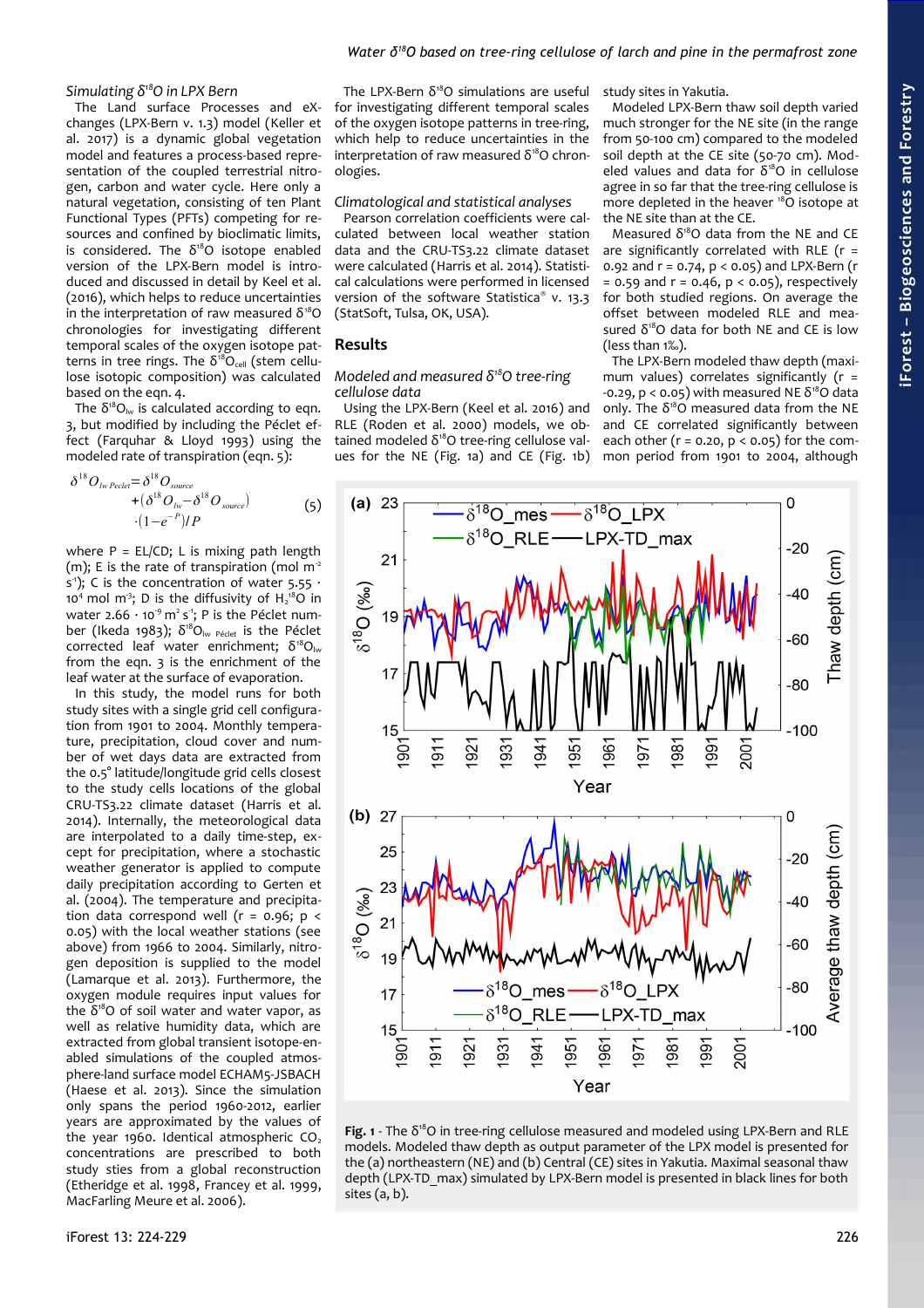# *Simulating δ<sup>18</sup>O in LPX Bern*

The Land surface Processes and eXchanges (LPX-Bern v. 1.3) model (Keller et al. 2017) is a dynamic global vegetation model and features a process-based representation of the coupled terrestrial nitrogen, carbon and water cycle. Here only a natural vegetation, consisting of ten Plant Functional Types (PFTs) competing for resources and confined by bioclimatic limits, is considered. The  $\delta^{18}O$  isotope enabled version of the LPX-Bern model is introduced and discussed in detail by Keel et al. (2016), which helps to reduce uncertainties in the interpretation of raw measured  $δ<sup>18</sup>O$ chronologies for investigating different temporal scales of the oxygen isotope patterns in tree rings. The  $\delta^{18}O_{cell}$  (stem cellulose isotopic composition) was calculated based on the eqn. 4.

The  $\delta^{18}O_{\text{lw}}$  is calculated according to eqn. 3, but modified by including the Péclet effect (Farquhar & Lloyd 1993) using the modeled rate of transpiration (eqn. 5):

$$
\delta^{18}O_{\text{Iw} \text{ Peclet}} = \delta^{18}O_{\text{source}} + (\delta^{18}O_{\text{Iw}} - \delta^{18}O_{\text{source}}) + (1 - e^{-P})/P
$$
\n
$$
(5)
$$

where  $P = EL/CD$ ; L is mixing path length (m); E is the rate of transpiration (mol  $m<sup>2</sup>$ s<sup>-1</sup>); C is the concentration of water 5.55  $\cdot$ 10<sup>4</sup> mol m<sup>3</sup>; D is the diffusivity of  $H_2^{18}O$  in water 2.66  $\cdot$  10<sup>-9</sup> m<sup>2</sup> s<sup>-1</sup>; P is the Péclet number (Ikeda 1983); δ<sup>18</sup>O<sub>lw Péclet</sub> is the Péclet corrected leaf water enrichment;  $\delta^{18}O_{\text{lw}}$ from the eqn. 3 is the enrichment of the leaf water at the surface of evaporation.

In this study, the model runs for both study sites with a single grid cell configuration from 1901 to 2004. Monthly temperature, precipitation, cloud cover and number of wet days data are extracted from the 0.5° latitude/longitude grid cells closest to the study cells locations of the global CRU-TS3.22 climate dataset (Harris et al. 2014). Internally, the meteorological data are interpolated to a daily time-step, except for precipitation, where a stochastic weather generator is applied to compute daily precipitation according to Gerten et al. (2004). The temperature and precipitation data correspond well ( $r = 0.96$ ;  $p <$ 0.05) with the local weather stations (see above) from 1966 to 2004. Similarly, nitrogen deposition is supplied to the model (Lamarque et al. 2013). Furthermore, the oxygen module requires input values for the  $δ<sup>18</sup>O$  of soil water and water vapor, as well as relative humidity data, which are extracted from global transient isotope-enabled simulations of the coupled atmosphere-land surface model ECHAM5-JSBACH (Haese et al. 2013). Since the simulation only spans the period 1960-2012, earlier years are approximated by the values of the year 1960. Identical atmospheric  $CO<sub>2</sub>$ concentrations are prescribed to both study sties from a global reconstruction (Etheridge et al. 1998, Francey et al. 1999, MacFarling Meure et al. 2006).

The LPX-Bern  $\delta^{18}O$  simulations are useful for investigating different temporal scales of the oxygen isotope patterns in tree-ring, which help to reduce uncertainties in the interpretation of raw measured  $\delta^{18}O$  chronologies.

## *Climatological and statistical analyses*

Pearson correlation coefficients were calculated between local weather station data and the CRU-TS3.22 climate dataset were calculated (Harris et al. 2014). Statistical calculations were performed in licensed version of the software Statistica® v. 13.3 (StatSoft, Tulsa, OK, USA).

# **Results**

#### *Modeled and measured δ<sup>18</sup>O tree-ring cellulose data*

Using the LPX-Bern (Keel et al. 2016) and RLE (Roden et al. 2000) models, we obtained modeled  $δ<sup>18</sup>O$  tree-ring cellulose values for the NE [\(Fig. 1a](#page-2-0)) and CE [\(Fig. 1b](#page-2-0)) study sites in Yakutia.

Modeled LPX-Bern thaw soil depth varied much stronger for the NE site (in the range from 50-100 cm) compared to the modeled soil depth at the CE site (50-70 cm). Modeled values and data for  $\delta^{18}O$  in cellulose agree in so far that the tree-ring cellulose is more depleted in the heaver  $^{18}$ O isotope at the NE site than at the CE.

Measured  $\delta^{18}O$  data from the NE and CE are significantly correlated with RLE ( $r =$ 0.92 and  $r = 0.74$ ,  $p < 0.05$ ) and LPX-Bern (r  $= 0.59$  and  $r = 0.46$ ,  $p < 0.05$ ), respectively for both studied regions. On average the offset between modeled RLE and measured  $\delta^{18}O$  data for both NE and CE is low (less than 1‰).

The LPX-Bern modeled thaw depth (maximum values) correlates significantly ( $r =$  $-0.29$ , p < 0.05) with measured NE  $\delta^{18}$ O data only. The  $\delta^{18}O$  measured data from the NE and CE correlated significantly between each other ( $r = 0.20$ ,  $p < 0.05$ ) for the common period from 1901 to 2004, although



<span id="page-2-0"></span>Fig. 1 - The δ<sup>18</sup>O in tree-ring cellulose measured and modeled using LPX-Bern and RLE models. Modeled thaw depth as output parameter of the LPX model is presented for the (a) northeastern (NE) and (b) Central (CE) sites in Yakutia. Maximal seasonal thaw depth (LPX-TD\_max) simulated by LPX-Bern model is presented in black lines for both sites (a, b).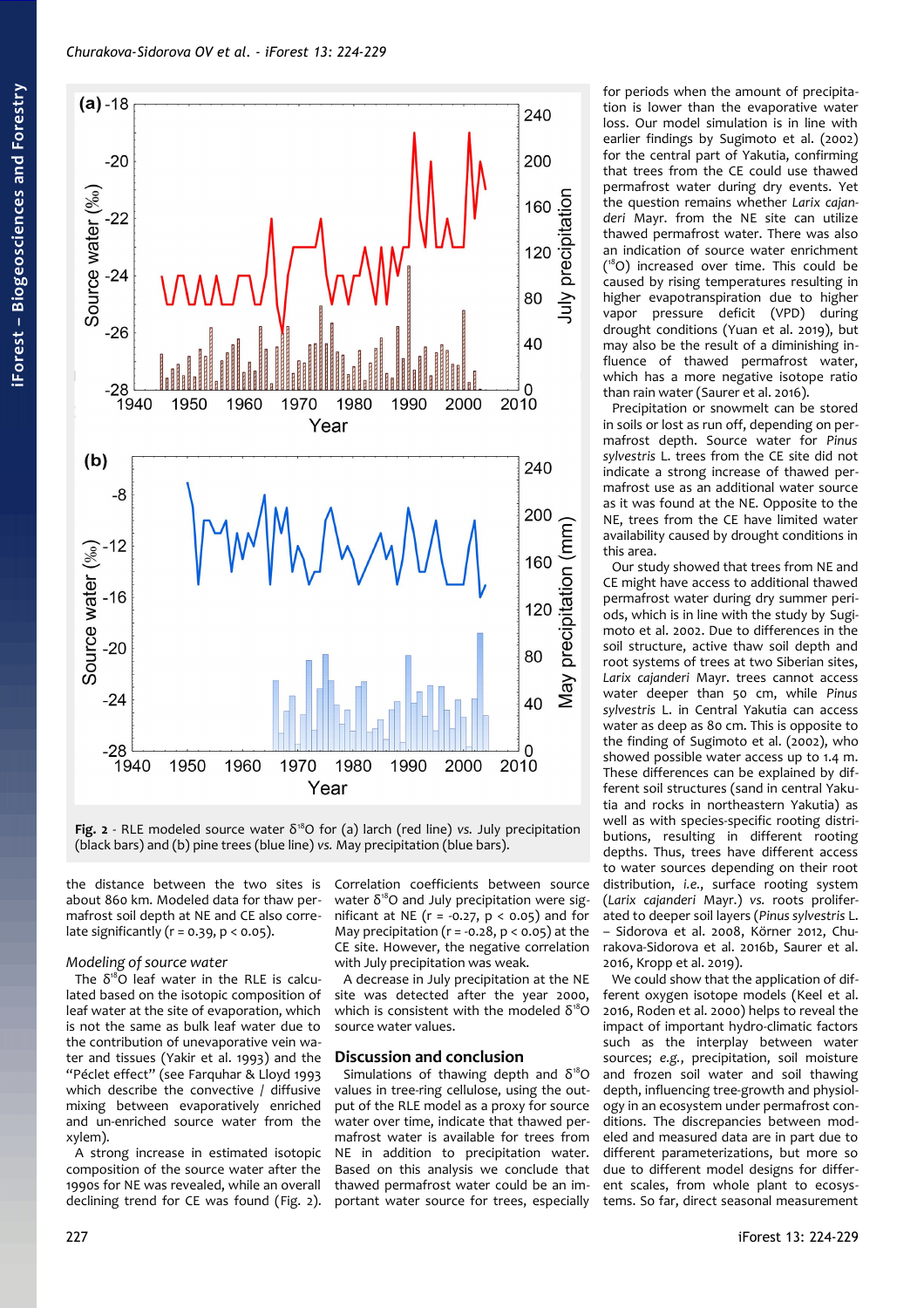

<span id="page-3-0"></span>Fig. 2 - RLE modeled source water  $\delta^{18}O$  for (a) larch (red line) *vs.* July precipitation (black bars) and (b) pine trees (blue line) *vs.* May precipitation (blue bars).

the distance between the two sites is about 860 km. Modeled data for thaw permafrost soil depth at NE and CE also correlate significantly ( $r = 0.39$ ,  $p < 0.05$ ).

### *Modeling of source water*

The  $\delta^{18}O$  leaf water in the RLE is calculated based on the isotopic composition of leaf water at the site of evaporation, which is not the same as bulk leaf water due to the contribution of unevaporative vein water and tissues (Yakir et al. 1993) and the "Péclet effect" (see Farquhar & Lloyd 1993 which describe the convective / diffusive mixing between evaporatively enriched and un-enriched source water from the xylem).

A strong increase in estimated isotopic composition of the source water after the 1990s for NE was revealed, while an overall declining trend for CE was found [\(Fig. 2\)](#page-3-0).

Correlation coefficients between source water  $\delta^{18}$ O and July precipitation were significant at NE ( $r = -0.27$ ,  $p < 0.05$ ) and for May precipitation ( $r = -0.28$ ,  $p < 0.05$ ) at the CE site. However, the negative correlation with July precipitation was weak.

A decrease in July precipitation at the NE site was detected after the year 2000, which is consistent with the modeled  $\delta^{18}O$ source water values.

## **Discussion and conclusion**

Simulations of thawing depth and  $\delta^{18}O$ values in tree-ring cellulose, using the output of the RLE model as a proxy for source water over time, indicate that thawed permafrost water is available for trees from NE in addition to precipitation water. Based on this analysis we conclude that thawed permafrost water could be an important water source for trees, especially

for periods when the amount of precipitation is lower than the evaporative water loss. Our model simulation is in line with earlier findings by Sugimoto et al. (2002) for the central part of Yakutia, confirming that trees from the CE could use thawed permafrost water during dry events. Yet the question remains whether *Larix cajanderi* Mayr. from the NE site can utilize thawed permafrost water. There was also an indication of source water enrichment ( <sup>18</sup>O) increased over time. This could be caused by rising temperatures resulting in higher evapotranspiration due to higher vapor pressure deficit (VPD) during drought conditions (Yuan et al. 2019), but may also be the result of a diminishing influence of thawed permafrost water, which has a more negative isotope ratio than rain water (Saurer et al. 2016).

Precipitation or snowmelt can be stored in soils or lost as run off, depending on permafrost depth. Source water for *Pinus sylvestris* L. trees from the CE site did not indicate a strong increase of thawed permafrost use as an additional water source as it was found at the NE. Opposite to the NE, trees from the CE have limited water availability caused by drought conditions in this area.

Our study showed that trees from NE and CE might have access to additional thawed permafrost water during dry summer periods, which is in line with the study by Sugimoto et al. 2002. Due to differences in the soil structure, active thaw soil depth and root systems of trees at two Siberian sites, *Larix cajanderi* Mayr. trees cannot access water deeper than 50 cm, while *Pinus sylvestris* L. in Central Yakutia can access water as deep as 80 cm. This is opposite to the finding of Sugimoto et al. (2002), who showed possible water access up to 1.4 m. These differences can be explained by different soil structures (sand in central Yakutia and rocks in northeastern Yakutia) as well as with species-specific rooting distributions, resulting in different rooting depths. Thus, trees have different access to water sources depending on their root distribution, *i.e.*, surface rooting system (*Larix cajanderi* Mayr.) *vs.* roots proliferated to deeper soil layers (*Pinus sylvestris* L. – Sidorova et al. 2008, Körner 2012, Churakova-Sidorova et al. 2016b, Saurer et al. 2016, Kropp et al. 2019).

We could show that the application of different oxygen isotope models (Keel et al. 2016, Roden et al. 2000) helps to reveal the impact of important hydro-climatic factors such as the interplay between water sources; *e.g.*, precipitation, soil moisture and frozen soil water and soil thawing depth, influencing tree-growth and physiology in an ecosystem under permafrost conditions. The discrepancies between modeled and measured data are in part due to different parameterizations, but more so due to different model designs for different scales, from whole plant to ecosystems. So far, direct seasonal measurement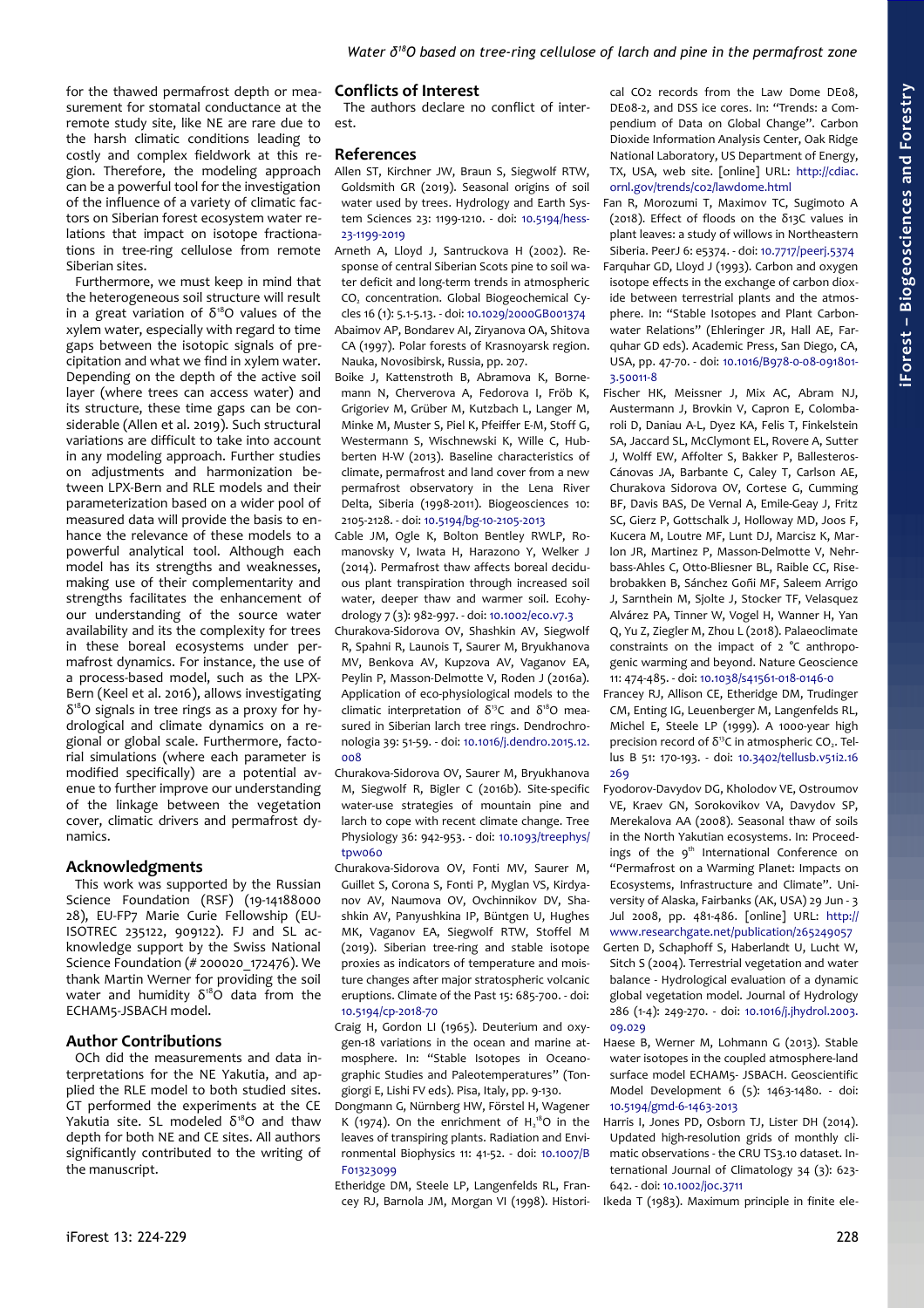for the thawed permafrost depth or measurement for stomatal conductance at the remote study site, like NE are rare due to the harsh climatic conditions leading to costly and complex fieldwork at this region. Therefore, the modeling approach can be a powerful tool for the investigation of the influence of a variety of climatic factors on Siberian forest ecosystem water relations that impact on isotope fractionations in tree-ring cellulose from remote Siberian sites.

Furthermore, we must keep in mind that the heterogeneous soil structure will result in a great variation of  $\delta^{18}O$  values of the xylem water, especially with regard to time gaps between the isotopic signals of precipitation and what we find in xylem water. Depending on the depth of the active soil layer (where trees can access water) and its structure, these time gaps can be considerable (Allen et al. 2019). Such structural variations are difficult to take into account in any modeling approach. Further studies on adjustments and harmonization between LPX-Bern and RLE models and their parameterization based on a wider pool of measured data will provide the basis to enhance the relevance of these models to a powerful analytical tool. Although each model has its strengths and weaknesses, making use of their complementarity and strengths facilitates the enhancement of our understanding of the source water availability and its the complexity for trees in these boreal ecosystems under permafrost dynamics. For instance, the use of a process-based model, such as the LPX-Bern (Keel et al. 2016), allows investigating δ 18O signals in tree rings as a proxy for hydrological and climate dynamics on a regional or global scale. Furthermore, factorial simulations (where each parameter is modified specifically) are a potential avenue to further improve our understanding of the linkage between the vegetation cover, climatic drivers and permafrost dynamics.

# **Acknowledgments**

This work was supported by the Russian Science Foundation (RSF) (19-14188000 28), EU-FP7 Marie Curie Fellowship (EU-ISOTREC 235122, 909122). FJ and SL acknowledge support by the Swiss National Science Foundation (# 200020\_172476). We thank Martin Werner for providing the soil water and humidity  $\delta^{18}$ O data from the ECHAM5-JSBACH model.

## **Author Contributions**

OCh did the measurements and data interpretations for the NE Yakutia, and applied the RLE model to both studied sites. GT performed the experiments at the CE Yakutia site. SL modeled  $\delta^{18}O$  and thaw depth for both NE and CE sites. All authors significantly contributed to the writing of the manuscript.

## **Conflicts of Interest**

The authors declare no conflict of interest.

## **References**

- Allen ST, Kirchner JW, Braun S, Siegwolf RTW, Goldsmith GR (2019). Seasonal origins of soil water used by trees. Hydrology and Earth System Sciences 23: 1199-1210. - doi: [10.5194/hess-](https://doi.org/10.5194/hess-23-1199-2019)[23-1199-2019](https://doi.org/10.5194/hess-23-1199-2019)
- Arneth A, Lloyd J, Santruckova H (2002). Response of central Siberian Scots pine to soil water deficit and long-term trends in atmospheric CO2 concentration. Global Biogeochemical Cycles 16 (1): 5.1-5.13. - doi: [10.1029/2000GB001374](https://doi.org/10.1029/2000GB001374) Abaimov AP, Bondarev AI, Ziryanova OA, Shitova CA (1997). Polar forests of Krasnoyarsk region. Nauka, Novosibirsk, Russia, pp. 207.
- Boike J, Kattenstroth B, Abramova K, Bornemann N, Cherverova A, Fedorova I, Fröb K, Grigoriev M, Grüber M, Kutzbach L, Langer M, Minke M, Muster S, Piel K, Pfeiffer E-M, Stoff G, Westermann S, Wischnewski K, Wille C, Hubberten H-W (2013). Baseline characteristics of climate, permafrost and land cover from a new permafrost observatory in the Lena River Delta, Siberia (1998-2011). Biogeosciences 10: 2105-2128. - doi: [10.5194/bg-10-2105-2013](https://doi.org/10.5194/bg-10-2105-2013)
- Cable JM, Ogle K, Bolton Bentley RWLP, Romanovsky V, Iwata H, Harazono Y, Welker J (2014). Permafrost thaw affects boreal deciduous plant transpiration through increased soil water, deeper thaw and warmer soil. Ecohydrology 7 (3): 982-997. - doi: [10.1002/eco.v7.3](https://doi.org/10.1002/eco.v7.3)
- Churakova-Sidorova OV, Shashkin AV, Siegwolf R, Spahni R, Launois T, Saurer M, Bryukhanova MV, Benkova AV, Kupzova AV, Vaganov EA, Peylin P, Masson-Delmotte V, Roden J (2016a). Application of eco-physiological models to the climatic interpretation of  $δ<sup>13</sup>C$  and  $δ<sup>18</sup>O$  measured in Siberian larch tree rings. Dendrochronologia 39: 51-59. - doi: [10.1016/j.dendro.2015.12.](https://doi.org/10.1016/j.dendro.2015.12.008) [008](https://doi.org/10.1016/j.dendro.2015.12.008)
- Churakova-Sidorova OV, Saurer M, Bryukhanova M, Siegwolf R, Bigler C (2016b). Site-specific water-use strategies of mountain pine and larch to cope with recent climate change. Tree Physiology 36: 942-953. - doi: [10.1093/treephys/](https://doi.org/10.1093/treephys/tpw060) [tpw060](https://doi.org/10.1093/treephys/tpw060)
- Churakova-Sidorova OV, Fonti MV, Saurer M, Guillet S, Corona S, Fonti P, Myglan VS, Kirdyanov AV, Naumova OV, Ovchinnikov DV, Shashkin AV, Panyushkina IP, Büntgen U, Hughes MK, Vaganov EA, Siegwolf RTW, Stoffel M (2019). Siberian tree-ring and stable isotope proxies as indicators of temperature and moisture changes after major stratospheric volcanic eruptions. Climate of the Past 15: 685-700. - doi: [10.5194/cp-2018-70](https://doi.org/10.5194/cp-2018-70)

Craig H, Gordon LI (1965). Deuterium and oxygen-18 variations in the ocean and marine atmosphere. In: "Stable Isotopes in Oceanographic Studies and Paleotemperatures" (Tongiorgi E, Lishi FV eds). Pisa, Italy, pp. 9-130.

Dongmann G, Nürnberg HW, Förstel H, Wagener K (1974). On the enrichment of  $H_2^{18}O$  in the leaves of transpiring plants. Radiation and Environmental Biophysics 11: 41-52. - doi: [10.1007/B](https://doi.org/10.1007/BF01323099) [F01323099](https://doi.org/10.1007/BF01323099)

Etheridge DM, Steele LP, Langenfelds RL, Francey RJ, Barnola JM, Morgan VI (1998). Historical CO2 records from the Law Dome DE08, DE08-2, and DSS ice cores. In: "Trends: a Compendium of Data on Global Change". Carbon Dioxide Information Analysis Center, Oak Ridge National Laboratory, US Department of Energy, TX, USA, web site. [online] URL: [http://cdiac.](http://cdiac.ornl.gov/trends/co2/lawdome.html) [ornl.gov/trends/co2/lawdome.html](http://cdiac.ornl.gov/trends/co2/lawdome.html)

Fan R, Morozumi T, Maximov TC, Sugimoto A (2018). Effect of floods on the δ13C values in plant leaves: a study of willows in Northeastern Siberia. PeerJ 6: e5374. - doi: [10.7717/peerj.5374](https://doi.org/10.7717/peerj.5374) Farquhar GD, Lloyd J (1993). Carbon and oxygen isotope effects in the exchange of carbon dioxide between terrestrial plants and the atmosphere. In: "Stable Isotopes and Plant Carbonwater Relations" (Ehleringer JR, Hall AE, Farquhar GD eds). Academic Press, San Diego, CA, USA, pp. 47-70. - doi: [10.1016/B978-0-08-091801-](https://doi.org/10.1016/B978-0-08-091801-3.50011-8) [3.50011-8](https://doi.org/10.1016/B978-0-08-091801-3.50011-8)

- Fischer HK, Meissner J, Mix AC, Abram NJ, Austermann J, Brovkin V, Capron E, Colombaroli D, Daniau A-L, Dyez KA, Felis T, Finkelstein SA, Jaccard SL, McClymont EL, Rovere A, Sutter J, Wolff EW, Affolter S, Bakker P, Ballesteros-Cánovas JA, Barbante C, Caley T, Carlson AE, Churakova Sidorova OV, Cortese G, Cumming BF, Davis BAS, De Vernal A, Emile-Geay J, Fritz SC, Gierz P, Gottschalk J, Holloway MD, Joos F, Kucera M, Loutre MF, Lunt DJ, Marcisz K, Marlon JR, Martinez P, Masson-Delmotte V, Nehrbass-Ahles C, Otto-Bliesner BL, Raible CC, Risebrobakken B, Sánchez Goñi MF, Saleem Arrigo J, Sarnthein M, Sjolte J, Stocker TF, Velasquez Alvárez PA, Tinner W, Vogel H, Wanner H, Yan Q, Yu Z, Ziegler M, Zhou L (2018). Palaeoclimate constraints on the impact of 2 °C anthropogenic warming and beyond. Nature Geoscience 11: 474-485. - doi: [10.1038/s41561-018-0146-0](https://doi.org/10.1038/s41561-018-0146-0)
- Francey RJ, Allison CE, Etheridge DM, Trudinger CM, Enting IG, Leuenberger M, Langenfelds RL, Michel E, Steele LP (1999). A 1000-year high precision record of  $δ<sup>13</sup>$ C in atmospheric CO<sub>2</sub>. Tellus B 51: 170-193. - doi: [10.3402/tellusb.v51i2.16](https://doi.org/10.3402/tellusb.v51i2.16269) [269](https://doi.org/10.3402/tellusb.v51i2.16269)
- Fyodorov-Davydov DG, Kholodov VE, Ostroumov VE, Kraev GN, Sorokovikov VA, Davydov SP, Merekalova AA (2008). Seasonal thaw of soils in the North Yakutian ecosystems. In: Proceedings of the 9<sup>th</sup> International Conference on "Permafrost on a Warming Planet: Impacts on Ecosystems, Infrastructure and Climate". University of Alaska, Fairbanks (AK, USA) 29 Jun - 3 Jul 2008, pp. 481-486. [online] URL: [http://](http://www.researchgate.net/publication/265249057) [www.researchgate.net/publication/265249057](http://www.researchgate.net/publication/265249057)
- Gerten D, Schaphoff S, Haberlandt U, Lucht W, Sitch S (2004). Terrestrial vegetation and water balance - Hydrological evaluation of a dynamic global vegetation model. Journal of Hydrology 286 (1-4): 249-270. - doi: [10.1016/j.jhydrol.2003.](https://doi.org/10.1016/j.jhydrol.2003.09.029) [09.029](https://doi.org/10.1016/j.jhydrol.2003.09.029)
- Haese B, Werner M, Lohmann G (2013). Stable water isotopes in the coupled atmosphere-land surface model ECHAM5- JSBACH. Geoscientific Model Development 6 (5): 1463-1480. - doi: [10.5194/gmd-6-1463-2013](https://doi.org/10.5194/gmd-6-1463-2013)
- Harris I, Jones PD, Osborn TJ, Lister DH (2014). Updated high-resolution grids of monthly climatic observations - the CRU TS3.10 dataset. International Journal of Climatology 34 (3): 623- 642. - doi: [10.1002/joc.3711](https://doi.org/10.1002/joc.3711)

Ikeda T (1983). Maximum principle in finite ele-